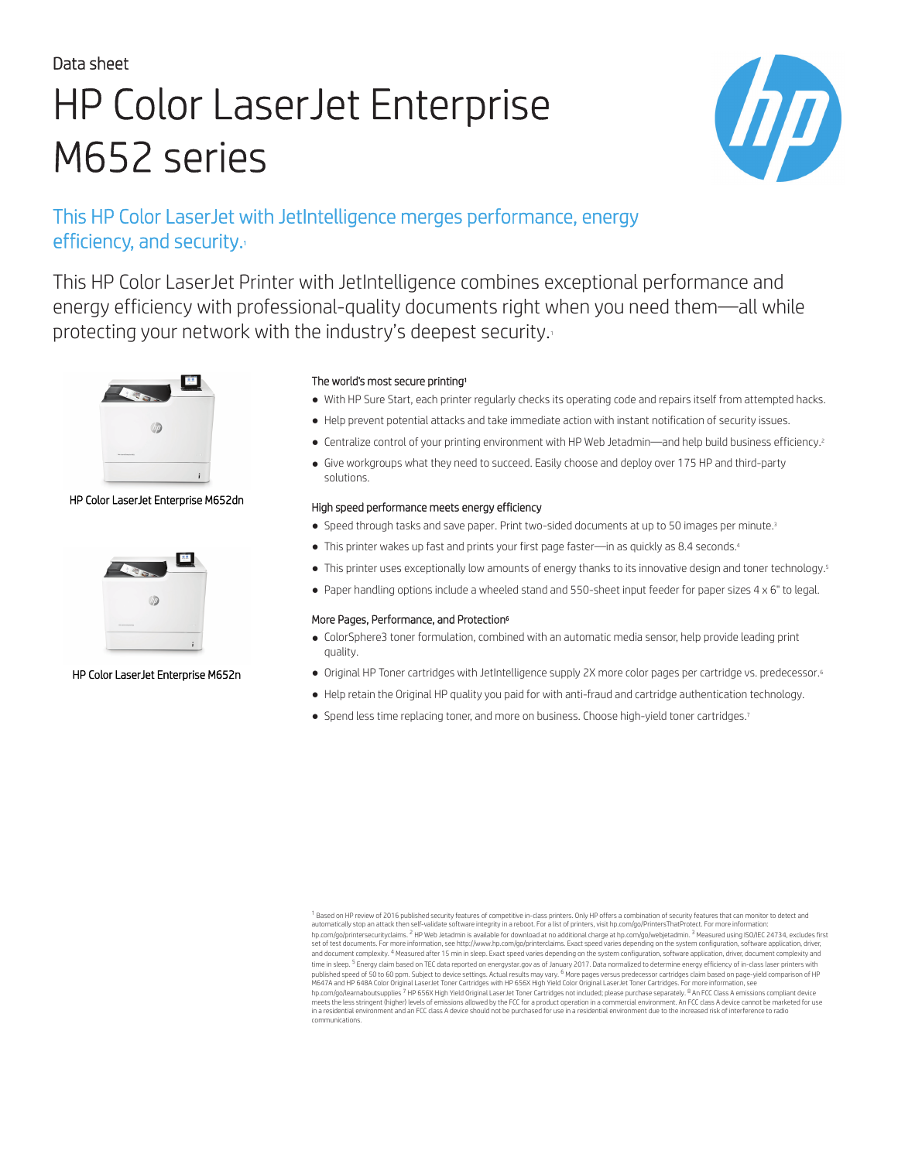# Data sheet HP Color LaserJet Enterprise M652 series



# This HP Color LaserJet with JetIntelligence merges performance, energy efficiency, and security.

This HP Color LaserJet Printer with JetIntelligence combines exceptional performance and energy efficiency with professional-quality documents right when you need them—all while protecting your network with the industry's deepest security.



### HP Color LaserJet Enterprise M652dn



### HP Color LaserJet Enterprise M652n

### The world's most secure printing<sup>1</sup>

- With HP Sure Start, each printer regularly checks its operating code and repairs itself from attempted hacks.
- Help prevent potential attacks and take immediate action with instant notification of security issues.
- Centralize control of your printing environment with HP Web Jetadmin—and help build business efficiency.<sup>2</sup>
- Give workgroups what they need to succeed. Easily choose and deploy over 175 HP and third-party solutions.

### High speed performance meets energy efficiency

- Speed through tasks and save paper. Print two-sided documents at up to 50 images per minute.<sup>3</sup>
- This printer wakes up fast and prints your first page faster—in as quickly as 8.4 seconds.<sup>4</sup>
- This printer uses exceptionally low amounts of energy thanks to its innovative design and toner technology.<sup>5</sup>
- Paper handling options include a wheeled stand and 550-sheet input feeder for paper sizes 4 x 6" to legal.

### More Pages, Performance, and Protection<sup>6</sup>

- ColorSphere3 toner formulation, combined with an automatic media sensor, help provide leading print quality.
- Original HP Toner cartridges with JetIntelligence supply 2X more color pages per cartridge vs. predecessor.<sup>6</sup>
- Help retain the Original HP quality you paid for with anti-fraud and cartridge authentication technology.
- Spend less time replacing toner, and more on business. Choose high-yield toner cartridges.<sup>7</sup>

<sup>&</sup>lt;sup>1</sup> Based on HP review of 2016 published security features of competitive in-class printers. Only HP offers a combination of security features that can monitor to detect and automatically stop an attack then self-validate software integrity in a reboot. For a list of printers, visit [hp.com/go/PrintersThatProtect](http://hp.com/go/PrintersThatProtect). For more information: [hp.com/go/printersecurityclaims](http://hp.com/go/printersecurityclaims). <sup>2</sup> HP Web Jetadmin is available for download at no additional charge at [hp.com/go/webjetadmin.](http://hp.com/go/webjetadmin) <sup>3</sup> Measured using ISQ/IEC 24734, excludes first<br>set of test documents. For more information, time in sleep. <sup>5</sup> Energy claim based on TEC data reported on [energystar.gov](http://energystar.gov) as of January 2017. Data normalized to determine energy efficiency of in-class laser printers with published speed of 50 to 60 ppm. Subject to device settings. Actual results may vary. <sup>6</sup> More pages versus predecessor cartridges claim based on page-yield comparison of HP<br>M647A and HP 648A Color Original LaserJet Toner communications.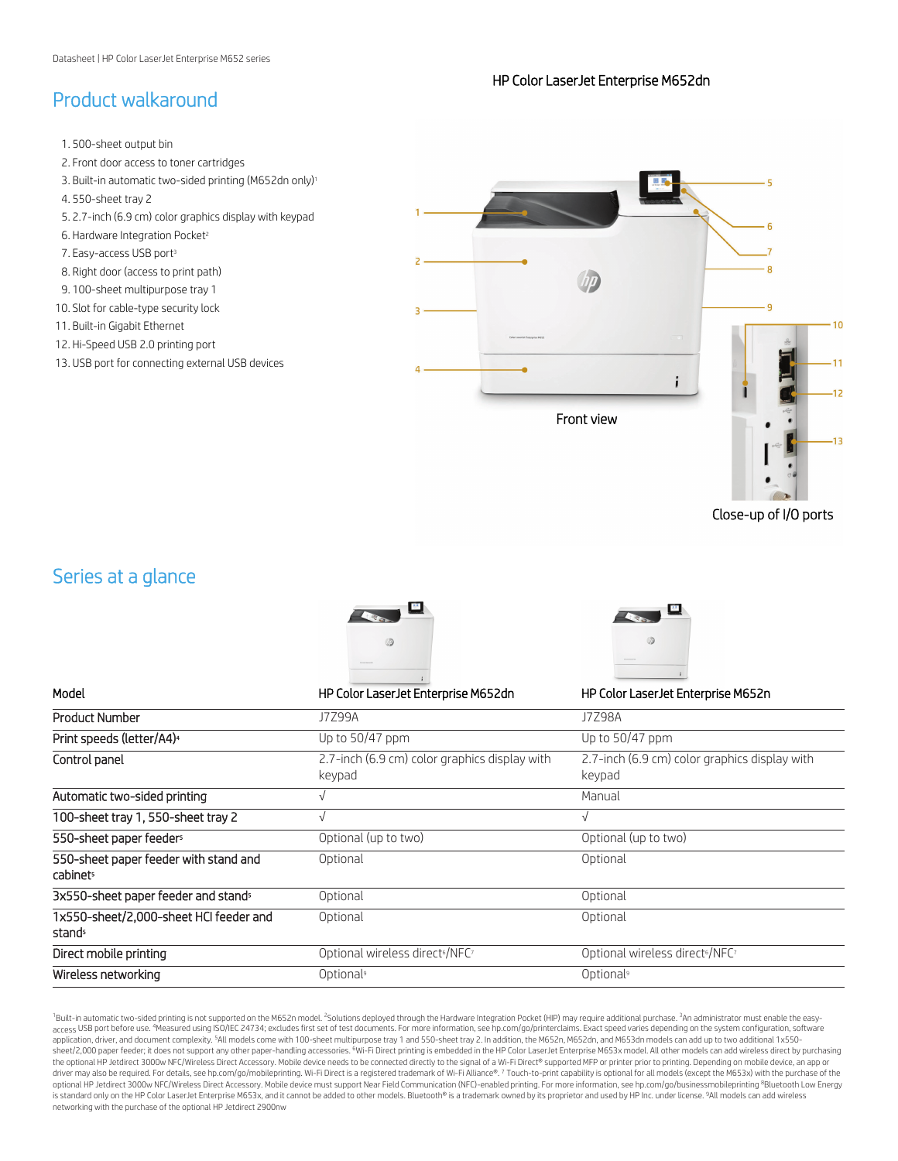### HP Color LaserJet Enterprise M652dn

### Product walkaround

1. 500-sheet output bin 2. Front door access to toner cartridges 3. Built-in automatic two-sided printing (M652dn only)<sup>1</sup> 4. 550-sheet tray 2 5. 2.7-inch (6.9 cm) color graphics display with keypad Ŕ 6. Hardware Integration Pocket<sup>2</sup> 7. Easy-access USB port<sup>3</sup> g 8. Right door (access to print path) 9. 100-sheet multipurpose tray 1 10. Slot for cable-type security lock  $\overline{q}$  $10$ 11. Built-in Gigabit Ethernet 12. Hi-Speed USB 2.0 printing port 13. USB port for connecting external USB devices 11  $12$ Front view

Close-up of I/O ports

### Series at a glance





Model HP Color LaserJet Enterprise M652dn HP Color LaserJet Enterprise M652n

| <b>Product Number</b>                             | J7Z99A                                                  | <b>J7Z98A</b>                                           |
|---------------------------------------------------|---------------------------------------------------------|---------------------------------------------------------|
| Print speeds (letter/A4) <sup>4</sup>             | Up to 50/47 ppm                                         | Up to $50/47$ ppm                                       |
| Control panel                                     | 2.7-inch (6.9 cm) color graphics display with<br>keypad | 2.7-inch (6.9 cm) color graphics display with<br>keypad |
| Automatic two-sided printing                      |                                                         | Manual                                                  |
| 100-sheet tray 1, 550-sheet tray 2                | V                                                       | $\sqrt{ }$                                              |
| 550-sheet paper feeders                           | Optional (up to two)                                    | Optional (up to two)                                    |
| 550-sheet paper feeder with stand and<br>cabinets | Optional                                                | Optional                                                |
| 3x550-sheet paper feeder and stand <sup>5</sup>   | Optional                                                | Optional                                                |
| 1x550-sheet/2,000-sheet HCI feeder and<br>stands  | Optional                                                | Optional                                                |
| Direct mobile printing                            | Optional wireless direct <sup>6</sup> /NFC <sup>7</sup> | Optional wireless direct <sup>6</sup> /NFC <sup>7</sup> |
| Wireless networking                               | Optional <sup>9</sup>                                   | Optional <sup>9</sup>                                   |

<sup>1</sup>Built-in automatic two-sided printing is not supported on the M652n model. <sup>2</sup>Solutions deployed through the Hardware Integration Pocket (HIP) may require additional purchase. <sup>3</sup>An administrator must enable the easyaccess USB port before use. <sup>4</sup>Measured using ISO/IEC 24734; excludes first set of test documents. For more information, see hp.com/go/printerclaims. Exact speed varies depending on the system configuration, software application, driver, and document complexity. <sup>5</sup>All models come with 100-sheet multipurpose tray 1 and 550-sheet tray 2. In addition, the M652n, M652dn, and M653dn models can add up to two additional 1x550sheet/2,000 paper feeder; it does not support any other paper-handling accessories. <sup>6</sup>Wi-Fi Direct printing is embedded in the HP Color [LaserJ](http://hp.com/go/printerclaims)et Enterprise M653x model. All other models can add wireless direct by purchasing the optional HP Jetdirect 3000w NFC/Wireless Direct Accessory. Mobile device needs to be connected directly to the signal of a Wi-Fi Direct® supported MFP or printer prior to printing. Depending on mobile device, an app or optional HP Jetdirect 3000w [NFC/Wireless](http://hp.com/go/mobileprinting) Direct Accessory. Mobile device must support Near Field Communication (NFC)-enabled printing. For more information, see hp.com/go/businessmobileprinting <sup>8</sup>Bluetooth Low Energy is standard only on the HP Color LaserJet Enterprise M653x, and it cannot be added to other models. Bluetooth® is a trademark owned by its pr[oprietor](http://hp.com/go/businessmobileprinting) and used by HP Inc. under license. <sup>9</sup>All models can add wireless networking with the purchase of the optional HP Jetdirect 2900nw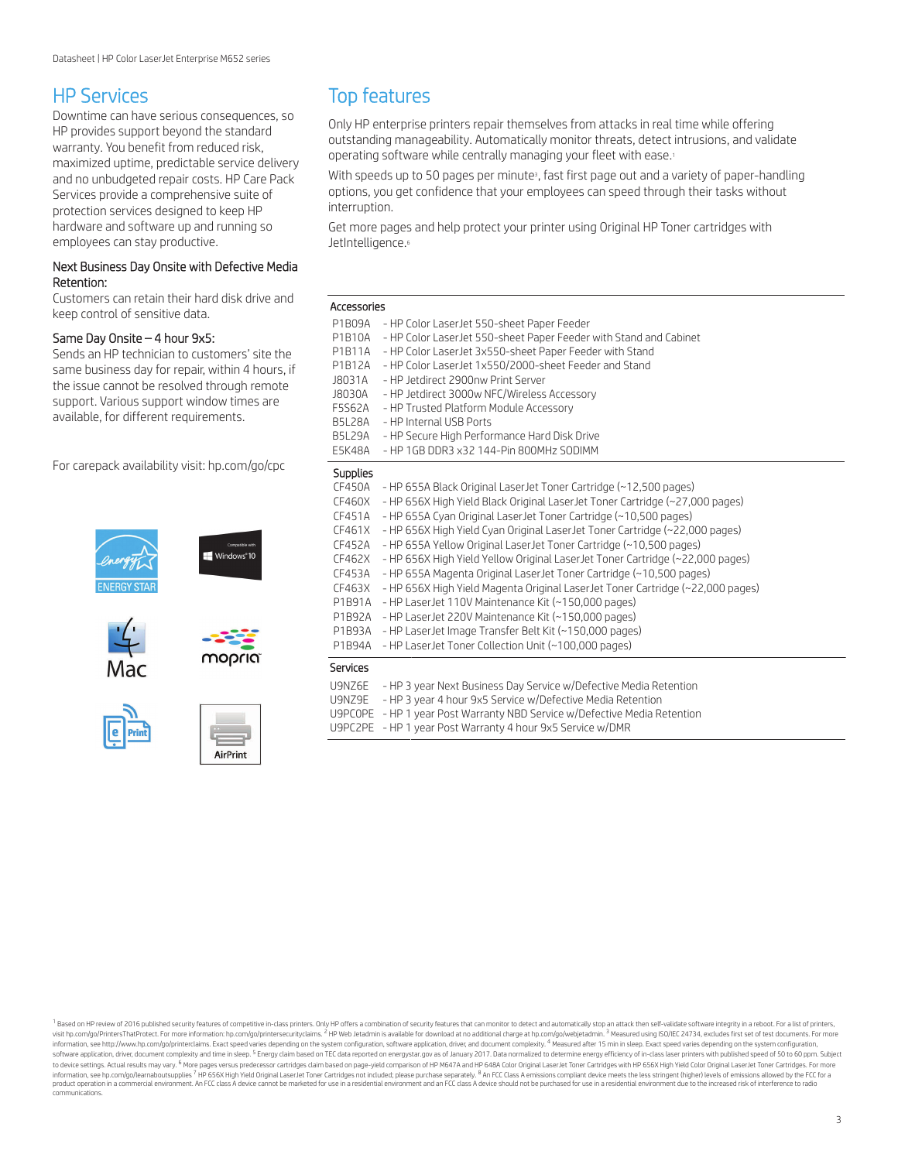### HP Services

Downtime can have serious consequences, so HP provides support beyond the standard warranty. You benefit from reduced risk, maximized uptime, predictable service delivery and no unbudgeted repair costs. HP Care Pack Services provide a comprehensive suite of protection services designed to keep HP hardware and software up and running so employees can stay productive.

#### Next Business Day Onsite with Defective Media Retention:

Customers can retain their hard disk drive and keep control of sensitive data.

#### Same Day Onsite – 4 hour 9x5:

Sends an HP technician to customers' site the same business day for repair, within 4 hours, if the issue cannot be resolved through remote support. Various support window times are available, for different requirements.

For carepack availability visit: [hp.com/go/cpc](http://hp.com/go/cpc)











**AirPrint** 

### Top features

Only HP enterprise printers repair themselves from attacks in real time while offering outstanding manageability. Automatically monitor threats, detect intrusions, and validate operating software while centrally managing your fleet with ease.<sup>1</sup>

With speeds up to 50 pages per minute<sup>3</sup>, fast first page out and a variety of paper-handling options, you get confidence that your employees can speed through their tasks without interruption.

Get more pages and help protect your printer using Original HP Toner cartridges with JetIntelligence.<sup>6</sup>

#### Accessories

| P1B09A<br>P1B10A<br>P1B11A<br>P1B12A<br>J8031A<br>J8030A<br>F5S62A<br><b>B5L28A</b><br><b>B5L29A</b><br>E5K48A | - HP Color LaserJet 550-sheet Paper Feeder<br>- HP Color LaserJet 550-sheet Paper Feeder with Stand and Cabinet<br>- HP Color LaserJet 3x550-sheet Paper Feeder with Stand<br>- HP Color LaserJet 1x550/2000-sheet Feeder and Stand<br>- HP Jetdirect 2900nw Print Server<br>- HP Jetdirect 3000w NFC/Wireless Accessory<br>- HP Trusted Platform Module Accessory<br>- HP Internal USB Ports<br>- HP Secure High Performance Hard Disk Drive<br>- HP 1GB DDR3 x32 144-Pin 800MHz SODIMM |
|----------------------------------------------------------------------------------------------------------------|------------------------------------------------------------------------------------------------------------------------------------------------------------------------------------------------------------------------------------------------------------------------------------------------------------------------------------------------------------------------------------------------------------------------------------------------------------------------------------------|
| <b>Supplies</b>                                                                                                |                                                                                                                                                                                                                                                                                                                                                                                                                                                                                          |
| CF450A                                                                                                         | - HP 655A Black Original LaserJet Toner Cartridge (~12,500 pages)                                                                                                                                                                                                                                                                                                                                                                                                                        |
| CF460X                                                                                                         | - HP 656X High Yield Black Original LaserJet Toner Cartridge (~27,000 pages)                                                                                                                                                                                                                                                                                                                                                                                                             |
| CF451A                                                                                                         | - HP 655A Cyan Original LaserJet Toner Cartridge (~10,500 pages)                                                                                                                                                                                                                                                                                                                                                                                                                         |
| CF461X                                                                                                         | - HP 656X High Yield Cyan Original LaserJet Toner Cartridge (~22,000 pages)                                                                                                                                                                                                                                                                                                                                                                                                              |
| CF452A                                                                                                         | - HP 655A Yellow Original LaserJet Toner Cartridge (~10,500 pages)                                                                                                                                                                                                                                                                                                                                                                                                                       |
| CF462X                                                                                                         | - HP 656X High Yield Yellow Original LaserJet Toner Cartridge (~22,000 pages)                                                                                                                                                                                                                                                                                                                                                                                                            |
| CF453A                                                                                                         | - HP 655A Magenta Original LaserJet Toner Cartridge (~10,500 pages)                                                                                                                                                                                                                                                                                                                                                                                                                      |
| CF463X                                                                                                         | - HP 656X High Yield Magenta Original LaserJet Toner Cartridge (~22,000 pages)                                                                                                                                                                                                                                                                                                                                                                                                           |
| P1B91A                                                                                                         | - HP LaserJet 110V Maintenance Kit (~150,000 pages)                                                                                                                                                                                                                                                                                                                                                                                                                                      |
| P1B92A                                                                                                         | - HP LaserJet 220V Maintenance Kit (~150,000 pages)                                                                                                                                                                                                                                                                                                                                                                                                                                      |
| P1B93A                                                                                                         | - HP LaserJet Image Transfer Belt Kit (~150,000 pages)                                                                                                                                                                                                                                                                                                                                                                                                                                   |
| P1B94A                                                                                                         | - HP LaserJet Toner Collection Unit (~100,000 pages)                                                                                                                                                                                                                                                                                                                                                                                                                                     |
| Services                                                                                                       |                                                                                                                                                                                                                                                                                                                                                                                                                                                                                          |
| U9NZ6E                                                                                                         | - HP 3 year Next Business Day Service w/Defective Media Retention                                                                                                                                                                                                                                                                                                                                                                                                                        |
| U9NZ9E                                                                                                         | - HP 3 year 4 hour 9x5 Service w/Defective Media Retention                                                                                                                                                                                                                                                                                                                                                                                                                               |
|                                                                                                                | U9PCOPE - HP 1 year Post Warranty NBD Service w/Defective Media Retention                                                                                                                                                                                                                                                                                                                                                                                                                |
|                                                                                                                | U9PC2PE - HP 1 year Post Warranty 4 hour 9x5 Service w/DMR                                                                                                                                                                                                                                                                                                                                                                                                                               |
|                                                                                                                |                                                                                                                                                                                                                                                                                                                                                                                                                                                                                          |

<sup>1</sup> Based on HP review of 2016 published security features of competitive in-class printers. Only HP offers a combination of security features that can monitor to detect and automatically stop an attack then self-validate information, see http://www.hp.com/go/printerclaims. Exact speed varies depending on the system configuration, software application, driver, and document complexity.<sup>4</sup> Measured after 15 min in sleep. Exact speed varies de software application, driver, document complexity and time in sleep. <sup>5</sup> Energy claim based on TEC data reported on [energystar.gov](http://energystar.gov) as of January 2017. Data normalized to determine energy efficiency of in-class laser printe information, see [hp.com/go/learnaboutsupplies](http://hp.com/go/learnaboutsupplies)<sup>7</sup> HP 656X High Yield Original Laser.Jet Toner Cartridges not included; please purchase separately. <sup>8</sup> An FCC Class A emissions compliant device meets the less stringent (high communications.